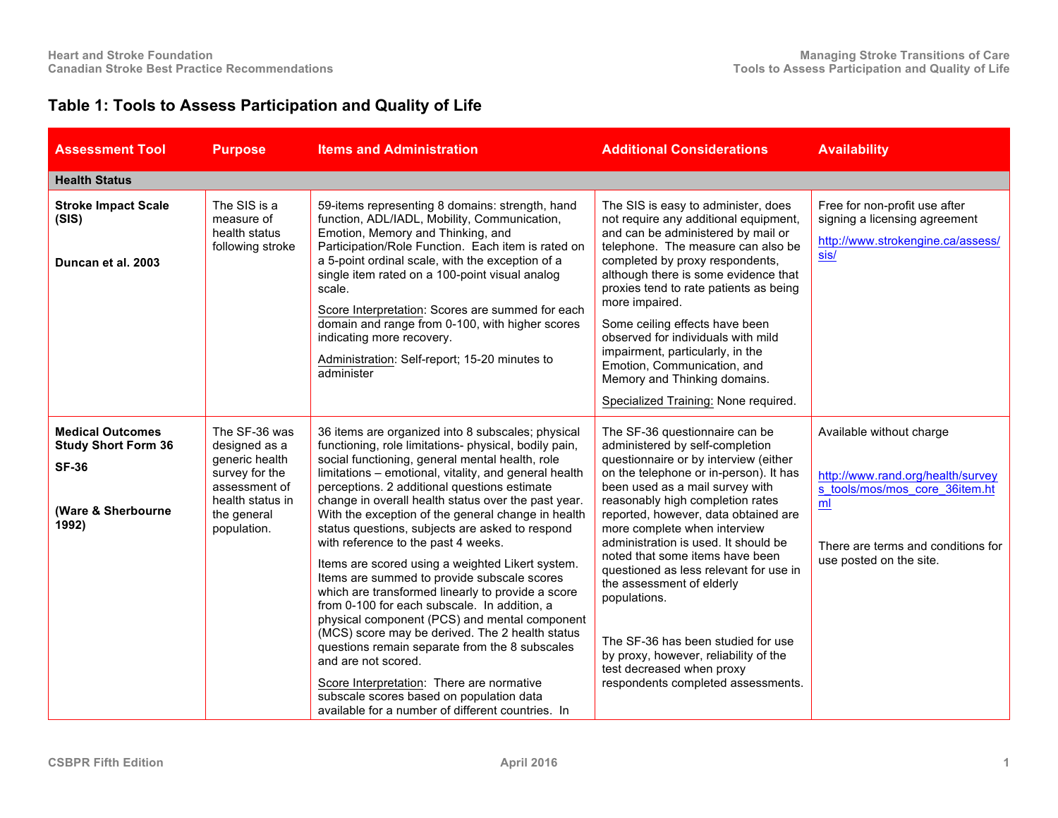## **Table 1: Tools to Assess Participation and Quality of Life**

| <b>Assessment Tool</b>                                                                               | <b>Purpose</b>                                                                                                                        | <b>Items and Administration</b>                                                                                                                                                                                                                                                                                                                                                                                                                                                                                                                                                                                                                                                                                                                                                                                                                                                                                                                                                                                  | <b>Additional Considerations</b>                                                                                                                                                                                                                                                                                                                                                                                                                                                                                                                                                                                        | <b>Availability</b>                                                                                                                                                    |
|------------------------------------------------------------------------------------------------------|---------------------------------------------------------------------------------------------------------------------------------------|------------------------------------------------------------------------------------------------------------------------------------------------------------------------------------------------------------------------------------------------------------------------------------------------------------------------------------------------------------------------------------------------------------------------------------------------------------------------------------------------------------------------------------------------------------------------------------------------------------------------------------------------------------------------------------------------------------------------------------------------------------------------------------------------------------------------------------------------------------------------------------------------------------------------------------------------------------------------------------------------------------------|-------------------------------------------------------------------------------------------------------------------------------------------------------------------------------------------------------------------------------------------------------------------------------------------------------------------------------------------------------------------------------------------------------------------------------------------------------------------------------------------------------------------------------------------------------------------------------------------------------------------------|------------------------------------------------------------------------------------------------------------------------------------------------------------------------|
| <b>Health Status</b>                                                                                 |                                                                                                                                       |                                                                                                                                                                                                                                                                                                                                                                                                                                                                                                                                                                                                                                                                                                                                                                                                                                                                                                                                                                                                                  |                                                                                                                                                                                                                                                                                                                                                                                                                                                                                                                                                                                                                         |                                                                                                                                                                        |
| <b>Stroke Impact Scale</b><br>(SIS)<br>Duncan et al. 2003                                            | The SIS is a<br>measure of<br>health status<br>following stroke                                                                       | 59-items representing 8 domains: strength, hand<br>function, ADL/IADL, Mobility, Communication,<br>Emotion, Memory and Thinking, and<br>Participation/Role Function. Each item is rated on<br>a 5-point ordinal scale, with the exception of a<br>single item rated on a 100-point visual analog<br>scale.<br>Score Interpretation: Scores are summed for each<br>domain and range from 0-100, with higher scores<br>indicating more recovery.<br>Administration: Self-report; 15-20 minutes to<br>administer                                                                                                                                                                                                                                                                                                                                                                                                                                                                                                    | The SIS is easy to administer, does<br>not require any additional equipment,<br>and can be administered by mail or<br>telephone. The measure can also be<br>completed by proxy respondents,<br>although there is some evidence that<br>proxies tend to rate patients as being<br>more impaired.<br>Some ceiling effects have been<br>observed for individuals with mild<br>impairment, particularly, in the<br>Emotion, Communication, and<br>Memory and Thinking domains.<br>Specialized Training: None required.                                                                                                      | Free for non-profit use after<br>signing a licensing agreement<br>http://www.strokengine.ca/assess/<br>sis/                                                            |
| <b>Medical Outcomes</b><br><b>Study Short Form 36</b><br><b>SF-36</b><br>(Ware & Sherbourne<br>1992) | The SF-36 was<br>designed as a<br>generic health<br>survey for the<br>assessment of<br>health status in<br>the general<br>population. | 36 items are organized into 8 subscales; physical<br>functioning, role limitations- physical, bodily pain,<br>social functioning, general mental health, role<br>limitations - emotional, vitality, and general health<br>perceptions. 2 additional questions estimate<br>change in overall health status over the past year.<br>With the exception of the general change in health<br>status questions, subjects are asked to respond<br>with reference to the past 4 weeks.<br>Items are scored using a weighted Likert system.<br>Items are summed to provide subscale scores<br>which are transformed linearly to provide a score<br>from 0-100 for each subscale. In addition, a<br>physical component (PCS) and mental component<br>(MCS) score may be derived. The 2 health status<br>questions remain separate from the 8 subscales<br>and are not scored.<br>Score Interpretation: There are normative<br>subscale scores based on population data<br>available for a number of different countries. In | The SF-36 questionnaire can be<br>administered by self-completion<br>questionnaire or by interview (either<br>on the telephone or in-person). It has<br>been used as a mail survey with<br>reasonably high completion rates<br>reported, however, data obtained are<br>more complete when interview<br>administration is used. It should be<br>noted that some items have been<br>questioned as less relevant for use in<br>the assessment of elderly<br>populations.<br>The SF-36 has been studied for use<br>by proxy, however, reliability of the<br>test decreased when proxy<br>respondents completed assessments. | Available without charge<br>http://www.rand.org/health/survey<br>s tools/mos/mos core 36item.ht<br>ml<br>There are terms and conditions for<br>use posted on the site. |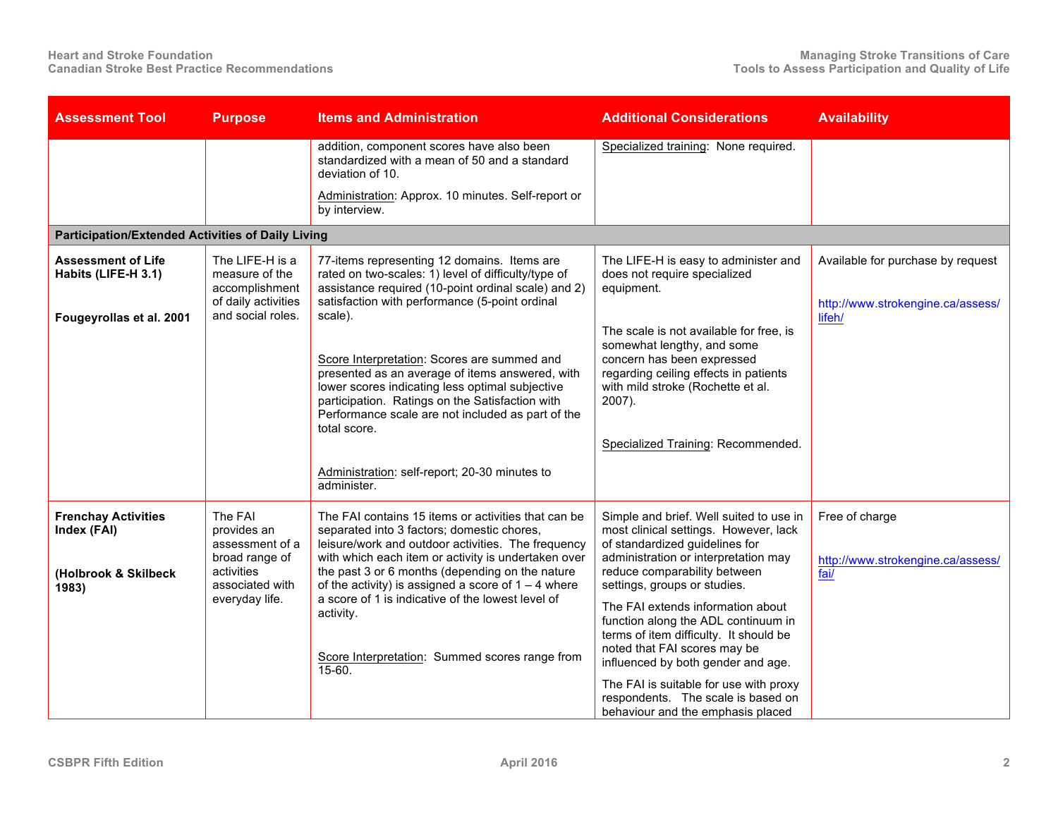| <b>Assessment Tool</b>                                                     | <b>Purpose</b>                                                                               | <b>Items and Administration</b>                                                                                                                                                                                                                                                                                            | <b>Additional Considerations</b>                                                                                                                                                                                                  | <b>Availability</b>                                                    |
|----------------------------------------------------------------------------|----------------------------------------------------------------------------------------------|----------------------------------------------------------------------------------------------------------------------------------------------------------------------------------------------------------------------------------------------------------------------------------------------------------------------------|-----------------------------------------------------------------------------------------------------------------------------------------------------------------------------------------------------------------------------------|------------------------------------------------------------------------|
|                                                                            |                                                                                              | addition, component scores have also been<br>standardized with a mean of 50 and a standard<br>deviation of 10.                                                                                                                                                                                                             | Specialized training: None required.                                                                                                                                                                                              |                                                                        |
|                                                                            |                                                                                              | Administration: Approx. 10 minutes. Self-report or<br>by interview.                                                                                                                                                                                                                                                        |                                                                                                                                                                                                                                   |                                                                        |
| <b>Participation/Extended Activities of Daily Living</b>                   |                                                                                              |                                                                                                                                                                                                                                                                                                                            |                                                                                                                                                                                                                                   |                                                                        |
| <b>Assessment of Life</b><br>Habits (LIFE-H 3.1)                           | The LIFE-H is a<br>measure of the<br>accomplishment<br>of daily activities                   | 77-items representing 12 domains. Items are<br>rated on two-scales: 1) level of difficulty/type of<br>assistance required (10-point ordinal scale) and 2)<br>satisfaction with performance (5-point ordinal                                                                                                                | The LIFE-H is easy to administer and<br>does not require specialized<br>equipment.                                                                                                                                                | Available for purchase by request<br>http://www.strokengine.ca/assess/ |
| Fougeyrollas et al. 2001                                                   | and social roles.                                                                            | scale).<br>Score Interpretation: Scores are summed and<br>presented as an average of items answered, with<br>lower scores indicating less optimal subjective<br>participation. Ratings on the Satisfaction with<br>Performance scale are not included as part of the<br>total score.                                       | The scale is not available for free, is<br>somewhat lengthy, and some<br>concern has been expressed<br>regarding ceiling effects in patients<br>with mild stroke (Rochette et al.<br>2007).<br>Specialized Training: Recommended. | lifeh/                                                                 |
|                                                                            |                                                                                              | Administration: self-report; 20-30 minutes to<br>administer.                                                                                                                                                                                                                                                               |                                                                                                                                                                                                                                   |                                                                        |
| <b>Frenchay Activities</b><br>Index (FAI)<br>(Holbrook & Skilbeck<br>1983) | The FAI<br>provides an<br>assessment of a<br>broad range of<br>activities<br>associated with | The FAI contains 15 items or activities that can be<br>separated into 3 factors; domestic chores,<br>leisure/work and outdoor activities. The frequency<br>with which each item or activity is undertaken over<br>the past 3 or 6 months (depending on the nature<br>of the activity) is assigned a score of $1 - 4$ where | Simple and brief. Well suited to use in<br>most clinical settings. However, lack<br>of standardized guidelines for<br>administration or interpretation may<br>reduce comparability between<br>settings, groups or studies.        | Free of charge<br>http://www.strokengine.ca/assess/<br>fai/            |
|                                                                            | everyday life.                                                                               | a score of 1 is indicative of the lowest level of<br>activity.<br>Score Interpretation: Summed scores range from<br>15-60.                                                                                                                                                                                                 | The FAI extends information about<br>function along the ADL continuum in<br>terms of item difficulty. It should be<br>noted that FAI scores may be<br>influenced by both gender and age.                                          |                                                                        |
|                                                                            |                                                                                              |                                                                                                                                                                                                                                                                                                                            | The FAI is suitable for use with proxy<br>respondents. The scale is based on<br>behaviour and the emphasis placed                                                                                                                 |                                                                        |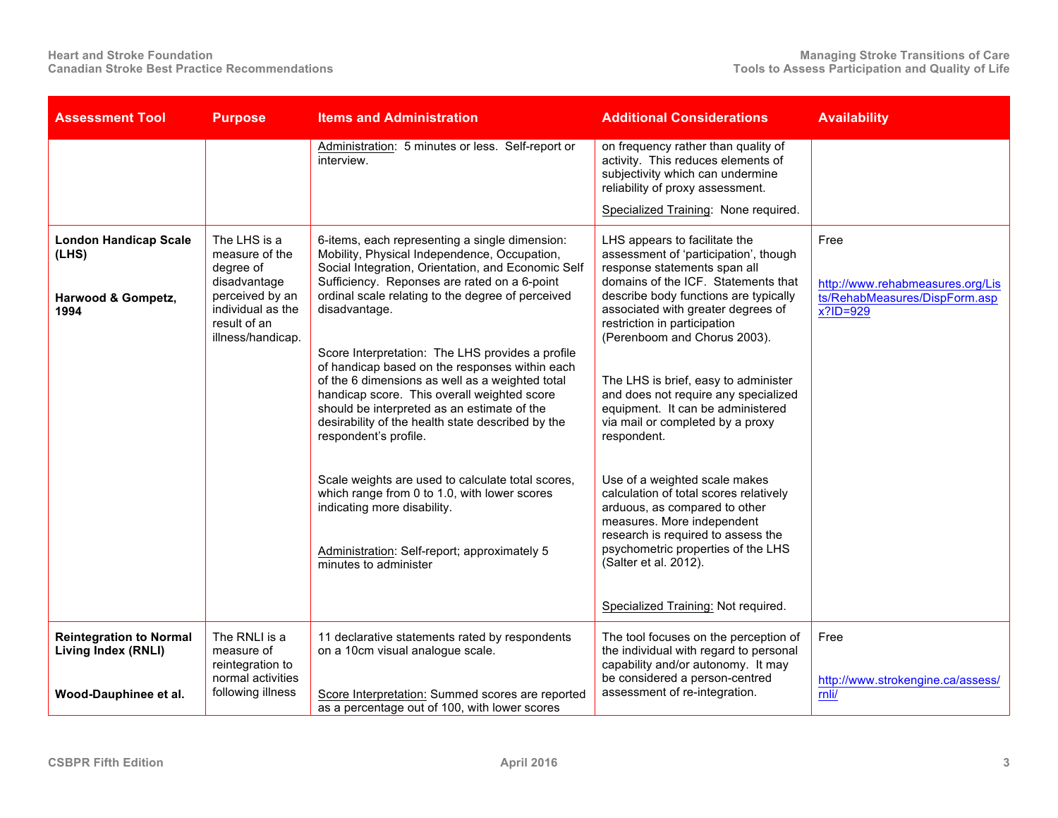| <b>Assessment Tool</b>                                                         | <b>Purpose</b>                                                                                                      | <b>Items and Administration</b>                                                                                                                                                                                                                                                                                                   | <b>Additional Considerations</b>                                                                                                                                                                                                                                                   | <b>Availability</b>                                                                      |
|--------------------------------------------------------------------------------|---------------------------------------------------------------------------------------------------------------------|-----------------------------------------------------------------------------------------------------------------------------------------------------------------------------------------------------------------------------------------------------------------------------------------------------------------------------------|------------------------------------------------------------------------------------------------------------------------------------------------------------------------------------------------------------------------------------------------------------------------------------|------------------------------------------------------------------------------------------|
|                                                                                |                                                                                                                     | Administration: 5 minutes or less. Self-report or<br>interview.                                                                                                                                                                                                                                                                   | on frequency rather than quality of<br>activity. This reduces elements of<br>subjectivity which can undermine<br>reliability of proxy assessment.                                                                                                                                  |                                                                                          |
|                                                                                |                                                                                                                     |                                                                                                                                                                                                                                                                                                                                   | Specialized Training: None required.                                                                                                                                                                                                                                               |                                                                                          |
| <b>London Handicap Scale</b><br>(LHS)<br>Harwood & Gompetz,<br>1994            | The LHS is a<br>measure of the<br>degree of<br>disadvantage<br>perceived by an<br>individual as the<br>result of an | 6-items, each representing a single dimension:<br>Mobility, Physical Independence, Occupation,<br>Social Integration, Orientation, and Economic Self<br>Sufficiency. Reponses are rated on a 6-point<br>ordinal scale relating to the degree of perceived<br>disadvantage.                                                        | LHS appears to facilitate the<br>assessment of 'participation', though<br>response statements span all<br>domains of the ICF. Statements that<br>describe body functions are typically<br>associated with greater degrees of<br>restriction in participation                       | Free<br>http://www.rehabmeasures.org/Lis<br>ts/RehabMeasures/DispForm.asp<br>$x?$ ID=929 |
|                                                                                | illness/handicap.                                                                                                   | Score Interpretation: The LHS provides a profile<br>of handicap based on the responses within each<br>of the 6 dimensions as well as a weighted total<br>handicap score. This overall weighted score<br>should be interpreted as an estimate of the<br>desirability of the health state described by the<br>respondent's profile. | (Perenboom and Chorus 2003).<br>The LHS is brief, easy to administer<br>and does not require any specialized<br>equipment. It can be administered<br>via mail or completed by a proxy<br>respondent.                                                                               |                                                                                          |
|                                                                                |                                                                                                                     | Scale weights are used to calculate total scores,<br>which range from 0 to 1.0, with lower scores<br>indicating more disability.<br>Administration: Self-report; approximately 5<br>minutes to administer                                                                                                                         | Use of a weighted scale makes<br>calculation of total scores relatively<br>arduous, as compared to other<br>measures. More independent<br>research is required to assess the<br>psychometric properties of the LHS<br>(Salter et al. 2012).<br>Specialized Training: Not required. |                                                                                          |
| <b>Reintegration to Normal</b><br>Living Index (RNLI)<br>Wood-Dauphinee et al. | The RNLI is a<br>measure of<br>reintegration to<br>normal activities<br>following illness                           | 11 declarative statements rated by respondents<br>on a 10cm visual analogue scale.<br>Score Interpretation: Summed scores are reported<br>as a percentage out of 100, with lower scores                                                                                                                                           | The tool focuses on the perception of<br>the individual with regard to personal<br>capability and/or autonomy. It may<br>be considered a person-centred<br>assessment of re-integration.                                                                                           | Free<br>http://www.strokengine.ca/assess/<br>rnli/                                       |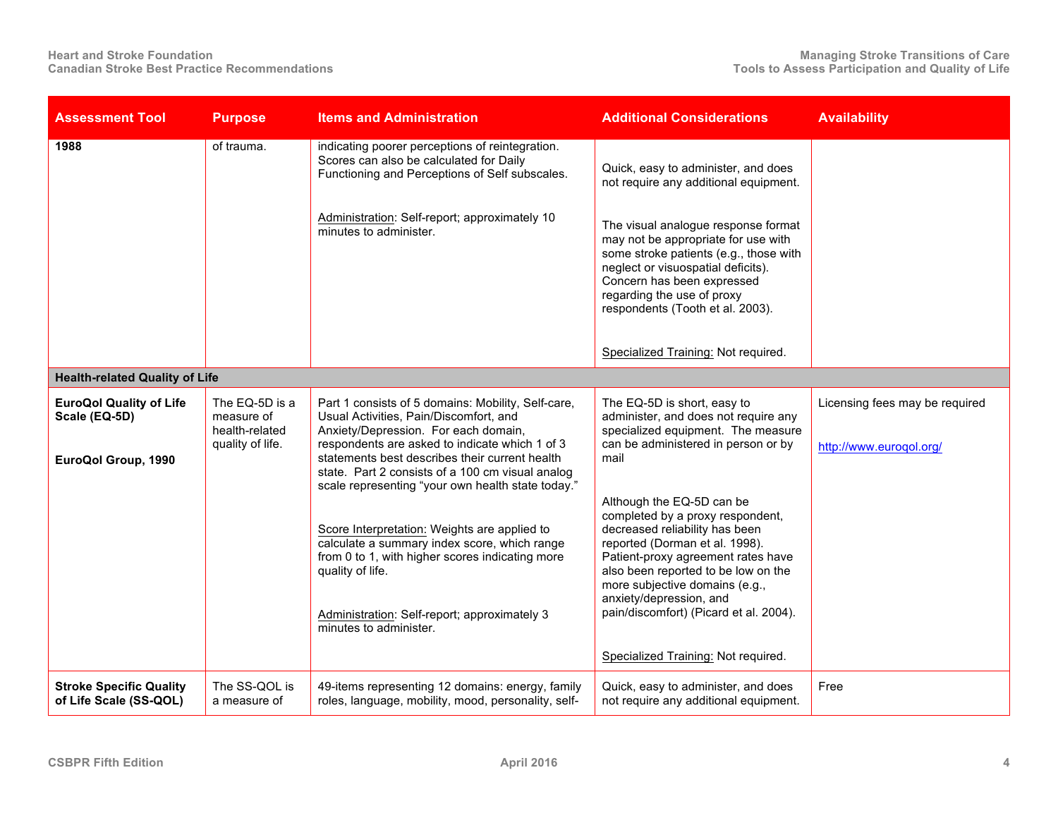| <b>Assessment Tool</b>                                                 | <b>Purpose</b>                                                     | <b>Items and Administration</b>                                                                                                                                                                                                                                                                                                                                                                                                                                                                                                                                                                    | <b>Additional Considerations</b>                                                                                                                                                                                                                                                                                                                                                                                                                                                                                         | <b>Availability</b>                                       |
|------------------------------------------------------------------------|--------------------------------------------------------------------|----------------------------------------------------------------------------------------------------------------------------------------------------------------------------------------------------------------------------------------------------------------------------------------------------------------------------------------------------------------------------------------------------------------------------------------------------------------------------------------------------------------------------------------------------------------------------------------------------|--------------------------------------------------------------------------------------------------------------------------------------------------------------------------------------------------------------------------------------------------------------------------------------------------------------------------------------------------------------------------------------------------------------------------------------------------------------------------------------------------------------------------|-----------------------------------------------------------|
| 1988                                                                   | of trauma.                                                         | indicating poorer perceptions of reintegration.<br>Scores can also be calculated for Daily<br>Functioning and Perceptions of Self subscales.<br>Administration: Self-report; approximately 10<br>minutes to administer.                                                                                                                                                                                                                                                                                                                                                                            | Quick, easy to administer, and does<br>not require any additional equipment.<br>The visual analogue response format<br>may not be appropriate for use with<br>some stroke patients (e.g., those with<br>neglect or visuospatial deficits).<br>Concern has been expressed<br>regarding the use of proxy<br>respondents (Tooth et al. 2003).<br>Specialized Training: Not required.                                                                                                                                        |                                                           |
| <b>Health-related Quality of Life</b>                                  |                                                                    |                                                                                                                                                                                                                                                                                                                                                                                                                                                                                                                                                                                                    |                                                                                                                                                                                                                                                                                                                                                                                                                                                                                                                          |                                                           |
| <b>EuroQol Quality of Life</b><br>Scale (EQ-5D)<br>EuroQol Group, 1990 | The EQ-5D is a<br>measure of<br>health-related<br>quality of life. | Part 1 consists of 5 domains: Mobility, Self-care,<br>Usual Activities, Pain/Discomfort, and<br>Anxiety/Depression. For each domain,<br>respondents are asked to indicate which 1 of 3<br>statements best describes their current health<br>state. Part 2 consists of a 100 cm visual analog<br>scale representing "your own health state today."<br>Score Interpretation: Weights are applied to<br>calculate a summary index score, which range<br>from 0 to 1, with higher scores indicating more<br>quality of life.<br>Administration: Self-report; approximately 3<br>minutes to administer. | The EQ-5D is short, easy to<br>administer, and does not require any<br>specialized equipment. The measure<br>can be administered in person or by<br>mail<br>Although the EQ-5D can be<br>completed by a proxy respondent,<br>decreased reliability has been<br>reported (Dorman et al. 1998).<br>Patient-proxy agreement rates have<br>also been reported to be low on the<br>more subjective domains (e.g.,<br>anxiety/depression, and<br>pain/discomfort) (Picard et al. 2004).<br>Specialized Training: Not required. | Licensing fees may be required<br>http://www.euroqol.org/ |
| <b>Stroke Specific Quality</b><br>of Life Scale (SS-QOL)               | The SS-QOL is<br>a measure of                                      | 49-items representing 12 domains: energy, family<br>roles, language, mobility, mood, personality, self-                                                                                                                                                                                                                                                                                                                                                                                                                                                                                            | Quick, easy to administer, and does<br>not require any additional equipment.                                                                                                                                                                                                                                                                                                                                                                                                                                             | Free                                                      |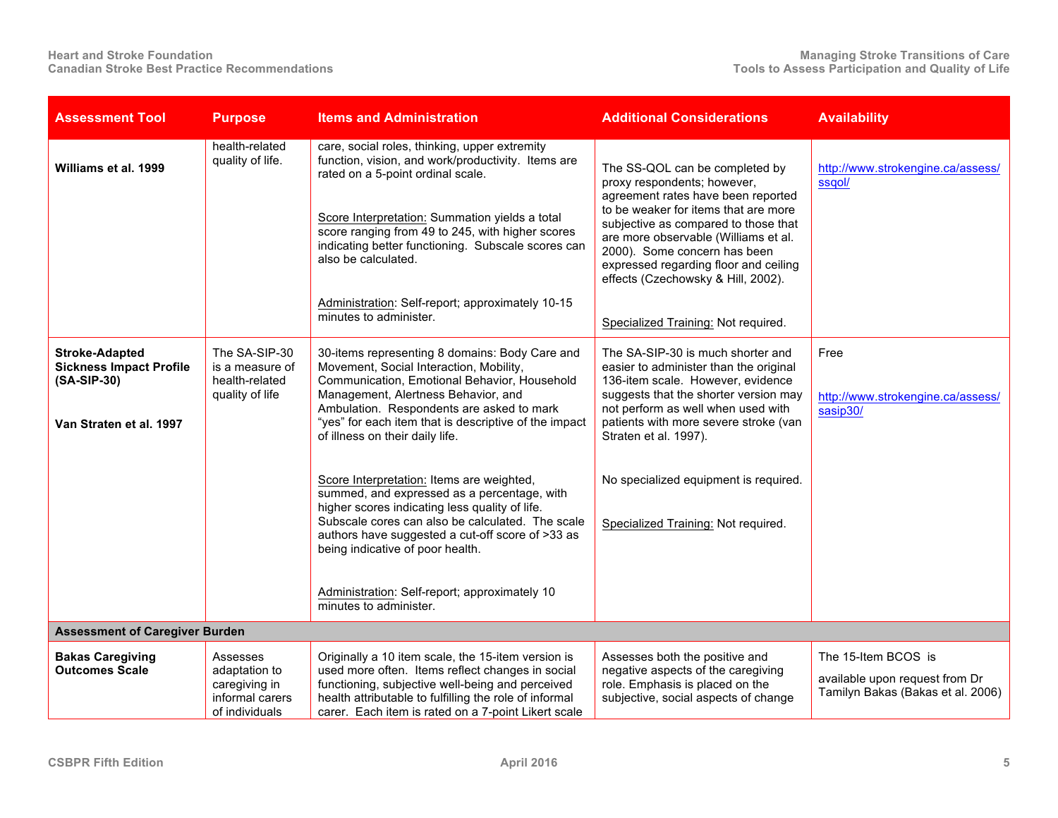| <b>Assessment Tool</b>                                                                            | <b>Purpose</b>                                                                  | <b>Items and Administration</b>                                                                                                                                                                                                                                                                                                                                                                                                                                                                                                                                                                                                                                                                | <b>Additional Considerations</b>                                                                                                                                                                                                                                                                                                                  | <b>Availability</b>                                                                        |
|---------------------------------------------------------------------------------------------------|---------------------------------------------------------------------------------|------------------------------------------------------------------------------------------------------------------------------------------------------------------------------------------------------------------------------------------------------------------------------------------------------------------------------------------------------------------------------------------------------------------------------------------------------------------------------------------------------------------------------------------------------------------------------------------------------------------------------------------------------------------------------------------------|---------------------------------------------------------------------------------------------------------------------------------------------------------------------------------------------------------------------------------------------------------------------------------------------------------------------------------------------------|--------------------------------------------------------------------------------------------|
| Williams et al. 1999                                                                              | health-related<br>quality of life.                                              | care, social roles, thinking, upper extremity<br>function, vision, and work/productivity. Items are<br>rated on a 5-point ordinal scale.<br>Score Interpretation: Summation yields a total<br>score ranging from 49 to 245, with higher scores<br>indicating better functioning. Subscale scores can<br>also be calculated.                                                                                                                                                                                                                                                                                                                                                                    | The SS-QOL can be completed by<br>proxy respondents; however,<br>agreement rates have been reported<br>to be weaker for items that are more<br>subjective as compared to those that<br>are more observable (Williams et al.<br>2000). Some concern has been<br>expressed regarding floor and ceiling<br>effects (Czechowsky & Hill, 2002).        | http://www.strokengine.ca/assess/<br>ssgol/                                                |
|                                                                                                   |                                                                                 | Administration: Self-report; approximately 10-15<br>minutes to administer.                                                                                                                                                                                                                                                                                                                                                                                                                                                                                                                                                                                                                     | Specialized Training: Not required.                                                                                                                                                                                                                                                                                                               |                                                                                            |
| <b>Stroke-Adapted</b><br><b>Sickness Impact Profile</b><br>(SA-SIP-30)<br>Van Straten et al. 1997 | The SA-SIP-30<br>is a measure of<br>health-related<br>quality of life           | 30-items representing 8 domains: Body Care and<br>Movement, Social Interaction, Mobility,<br>Communication, Emotional Behavior, Household<br>Management, Alertness Behavior, and<br>Ambulation. Respondents are asked to mark<br>"yes" for each item that is descriptive of the impact<br>of illness on their daily life.<br>Score Interpretation: Items are weighted,<br>summed, and expressed as a percentage, with<br>higher scores indicating less quality of life.<br>Subscale cores can also be calculated. The scale<br>authors have suggested a cut-off score of >33 as<br>being indicative of poor health.<br>Administration: Self-report; approximately 10<br>minutes to administer. | The SA-SIP-30 is much shorter and<br>easier to administer than the original<br>136-item scale. However, evidence<br>suggests that the shorter version may<br>not perform as well when used with<br>patients with more severe stroke (van<br>Straten et al. 1997).<br>No specialized equipment is required.<br>Specialized Training: Not required. | Free<br>http://www.strokengine.ca/assess/<br>sasip30/                                      |
| <b>Assessment of Caregiver Burden</b>                                                             |                                                                                 |                                                                                                                                                                                                                                                                                                                                                                                                                                                                                                                                                                                                                                                                                                |                                                                                                                                                                                                                                                                                                                                                   |                                                                                            |
| <b>Bakas Caregiving</b><br><b>Outcomes Scale</b>                                                  | Assesses<br>adaptation to<br>caregiving in<br>informal carers<br>of individuals | Originally a 10 item scale, the 15-item version is<br>used more often. Items reflect changes in social<br>functioning, subjective well-being and perceived<br>health attributable to fulfilling the role of informal<br>carer. Each item is rated on a 7-point Likert scale                                                                                                                                                                                                                                                                                                                                                                                                                    | Assesses both the positive and<br>negative aspects of the caregiving<br>role. Emphasis is placed on the<br>subjective, social aspects of change                                                                                                                                                                                                   | The 15-Item BCOS is<br>available upon request from Dr<br>Tamilyn Bakas (Bakas et al. 2006) |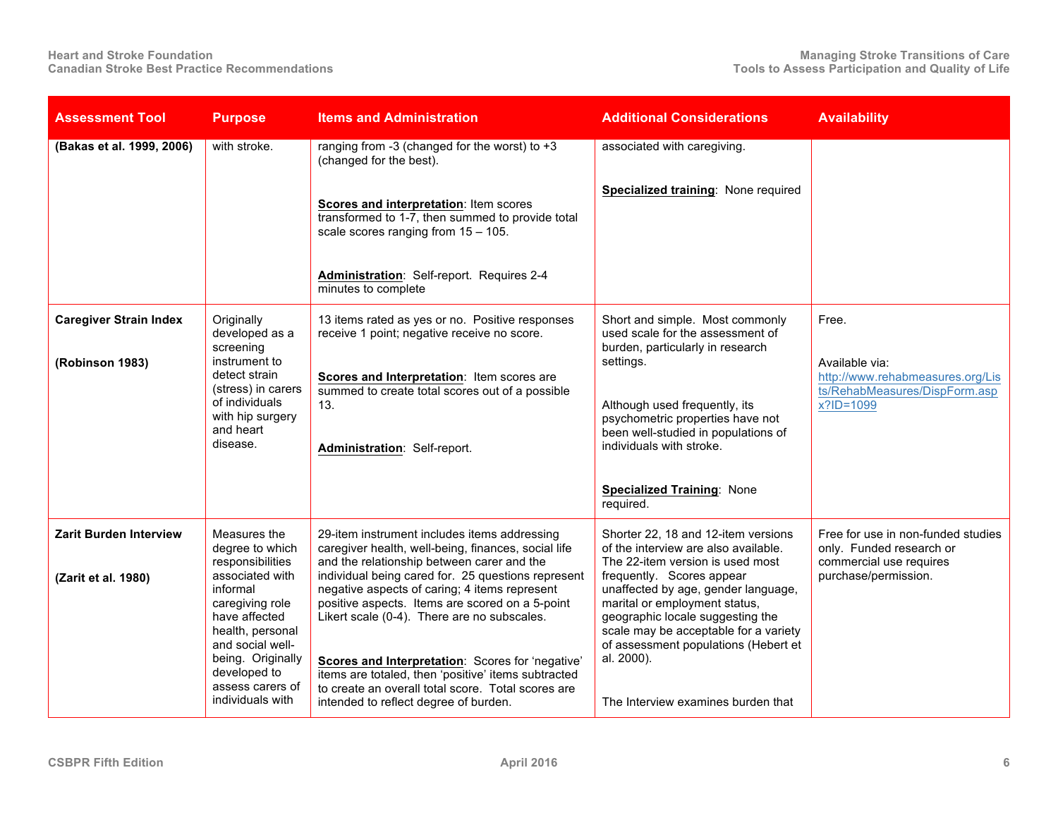| <b>Assessment Tool</b>                           | <b>Purpose</b>                                                                                                                                                                       | <b>Items and Administration</b>                                                                                                                                                                                                                                                                                                                                                                                 | <b>Additional Considerations</b>                                                                                                                                                                                                                                           | <b>Availability</b>                                                                       |
|--------------------------------------------------|--------------------------------------------------------------------------------------------------------------------------------------------------------------------------------------|-----------------------------------------------------------------------------------------------------------------------------------------------------------------------------------------------------------------------------------------------------------------------------------------------------------------------------------------------------------------------------------------------------------------|----------------------------------------------------------------------------------------------------------------------------------------------------------------------------------------------------------------------------------------------------------------------------|-------------------------------------------------------------------------------------------|
| (Bakas et al. 1999, 2006)                        | with stroke.                                                                                                                                                                         | ranging from -3 (changed for the worst) to $+3$<br>(changed for the best).                                                                                                                                                                                                                                                                                                                                      | associated with caregiving.                                                                                                                                                                                                                                                |                                                                                           |
|                                                  |                                                                                                                                                                                      | Scores and interpretation: Item scores<br>transformed to 1-7, then summed to provide total<br>scale scores ranging from $15 - 105$ .                                                                                                                                                                                                                                                                            | Specialized training: None required                                                                                                                                                                                                                                        |                                                                                           |
|                                                  |                                                                                                                                                                                      | Administration: Self-report. Requires 2-4<br>minutes to complete                                                                                                                                                                                                                                                                                                                                                |                                                                                                                                                                                                                                                                            |                                                                                           |
| <b>Caregiver Strain Index</b><br>(Robinson 1983) | Originally<br>developed as a<br>screening<br>instrument to                                                                                                                           | 13 items rated as yes or no. Positive responses<br>receive 1 point; negative receive no score.                                                                                                                                                                                                                                                                                                                  | Short and simple. Most commonly<br>used scale for the assessment of<br>burden, particularly in research<br>settings.                                                                                                                                                       | Free.<br>Available via:                                                                   |
|                                                  | detect strain<br>(stress) in carers<br>of individuals<br>with hip surgery<br>and heart<br>disease.                                                                                   | Scores and Interpretation: Item scores are<br>summed to create total scores out of a possible<br>13.<br>Administration: Self-report.                                                                                                                                                                                                                                                                            | Although used frequently, its<br>psychometric properties have not<br>been well-studied in populations of<br>individuals with stroke.                                                                                                                                       | http://www.rehabmeasures.org/Lis<br>ts/RehabMeasures/DispForm.asp<br>x?ID=1099            |
|                                                  |                                                                                                                                                                                      |                                                                                                                                                                                                                                                                                                                                                                                                                 | <b>Specialized Training: None</b><br>required.                                                                                                                                                                                                                             |                                                                                           |
| <b>Zarit Burden Interview</b>                    | Measures the<br>degree to which<br>responsibilities                                                                                                                                  | 29-item instrument includes items addressing<br>caregiver health, well-being, finances, social life<br>and the relationship between carer and the                                                                                                                                                                                                                                                               | Shorter 22, 18 and 12-item versions<br>of the interview are also available.<br>The 22-item version is used most                                                                                                                                                            | Free for use in non-funded studies<br>only. Funded research or<br>commercial use requires |
| (Zarit et al. 1980)                              | associated with<br>informal<br>caregiving role<br>have affected<br>health, personal<br>and social well-<br>being. Originally<br>developed to<br>assess carers of<br>individuals with | individual being cared for. 25 questions represent<br>negative aspects of caring; 4 items represent<br>positive aspects. Items are scored on a 5-point<br>Likert scale (0-4). There are no subscales.<br>Scores and Interpretation: Scores for 'negative'<br>items are totaled, then 'positive' items subtracted<br>to create an overall total score. Total scores are<br>intended to reflect degree of burden. | frequently. Scores appear<br>unaffected by age, gender language,<br>marital or employment status,<br>geographic locale suggesting the<br>scale may be acceptable for a variety<br>of assessment populations (Hebert et<br>al. 2000).<br>The Interview examines burden that | purchase/permission.                                                                      |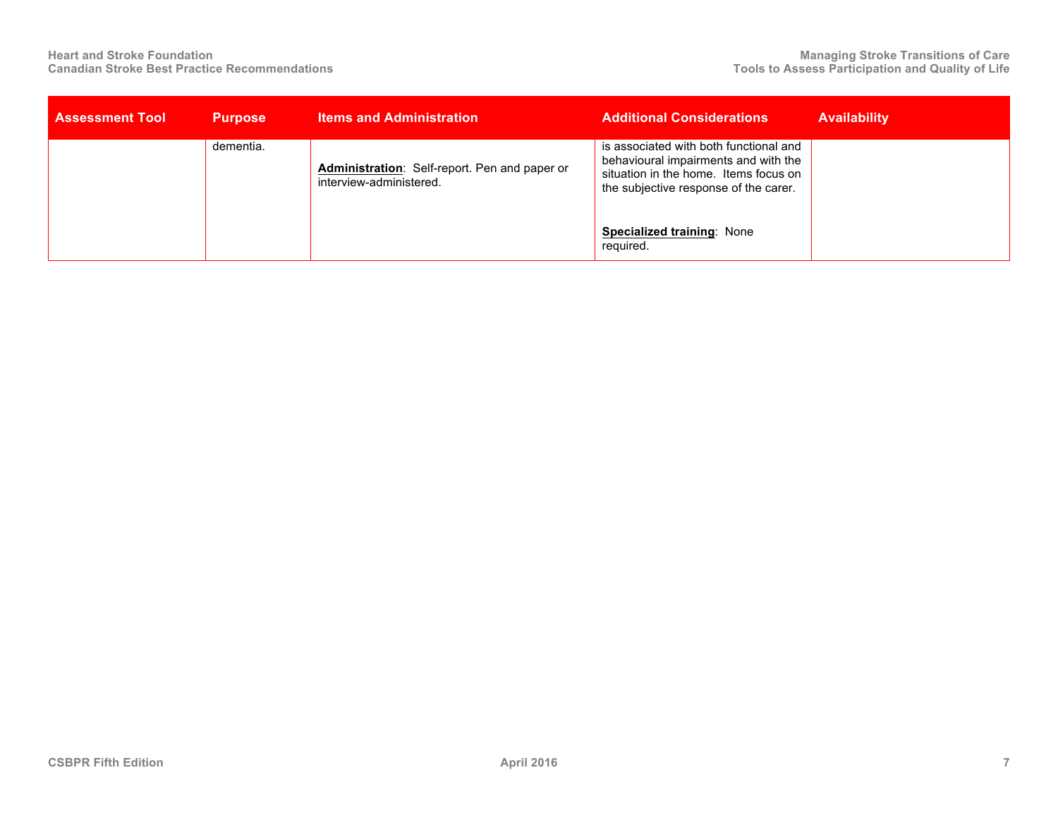| <b>Assessment Tool</b> | <b>Purpose</b> | <b>Items and Administration</b>                                          | <b>Additional Considerations</b>                                                                                                                                 | <b>Availability</b> |
|------------------------|----------------|--------------------------------------------------------------------------|------------------------------------------------------------------------------------------------------------------------------------------------------------------|---------------------|
|                        | dementia.      | Administration: Self-report. Pen and paper or<br>interview-administered. | is associated with both functional and<br>behavioural impairments and with the<br>situation in the home. Items focus on<br>the subjective response of the carer. |                     |
|                        |                |                                                                          | Specialized training: None<br>required.                                                                                                                          |                     |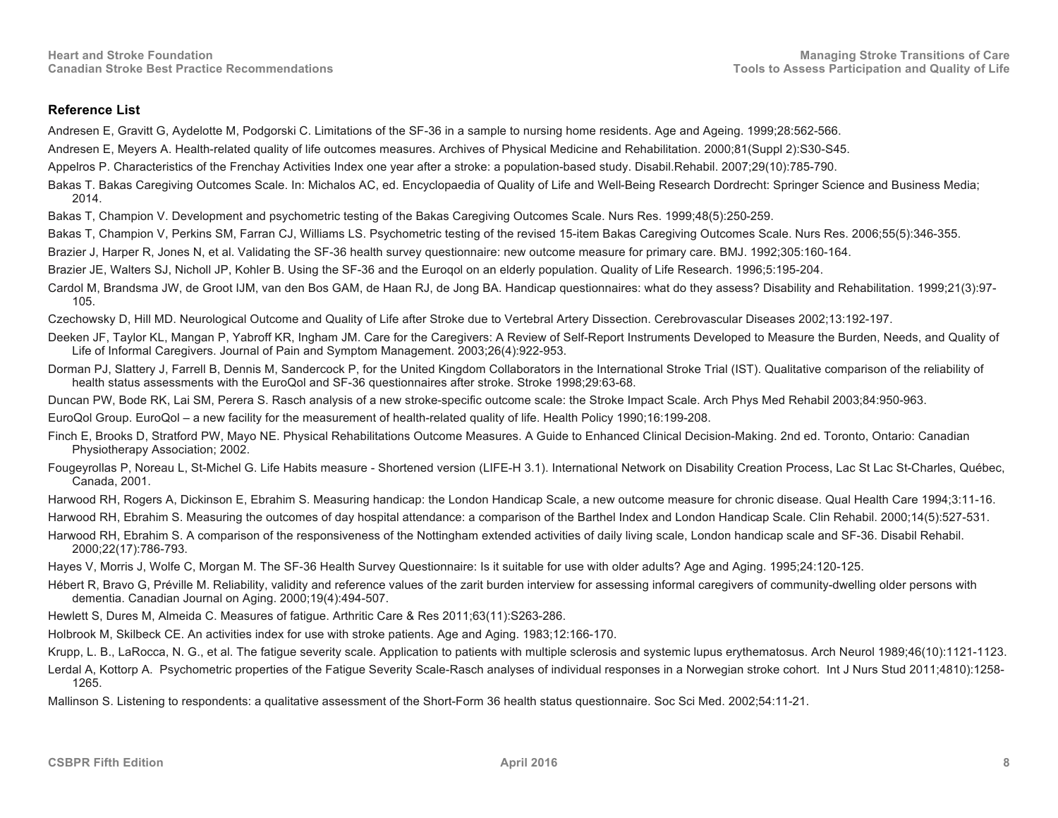## **Reference List**

Andresen E, Gravitt G, Aydelotte M, Podgorski C. Limitations of the SF-36 in a sample to nursing home residents. Age and Ageing. 1999;28:562-566.

Andresen E, Meyers A. Health-related quality of life outcomes measures. Archives of Physical Medicine and Rehabilitation. 2000;81(Suppl 2):S30-S45.

- Appelros P. Characteristics of the Frenchay Activities Index one year after a stroke: a population-based study. Disabil.Rehabil. 2007;29(10):785-790.
- Bakas T. Bakas Caregiving Outcomes Scale. In: Michalos AC, ed. Encyclopaedia of Quality of Life and Well-Being Research Dordrecht: Springer Science and Business Media; 2014.
- Bakas T, Champion V. Development and psychometric testing of the Bakas Caregiving Outcomes Scale. Nurs Res. 1999;48(5):250-259.

Bakas T, Champion V, Perkins SM, Farran CJ, Williams LS. Psychometric testing of the revised 15-item Bakas Caregiving Outcomes Scale. Nurs Res. 2006;55(5):346-355.

Brazier J, Harper R, Jones N, et al. Validating the SF-36 health survey questionnaire: new outcome measure for primary care. BMJ. 1992;305:160-164.

Brazier JE, Walters SJ, Nicholl JP, Kohler B. Using the SF-36 and the Euroqol on an elderly population. Quality of Life Research. 1996;5:195-204.

Cardol M, Brandsma JW, de Groot IJM, van den Bos GAM, de Haan RJ, de Jong BA. Handicap questionnaires: what do they assess? Disability and Rehabilitation. 1999;21(3):97-105.

Czechowsky D, Hill MD. Neurological Outcome and Quality of Life after Stroke due to Vertebral Artery Dissection. Cerebrovascular Diseases 2002;13:192-197.

- Deeken JF, Taylor KL, Mangan P, Yabroff KR, Ingham JM. Care for the Caregivers: A Review of Self-Report Instruments Developed to Measure the Burden, Needs, and Quality of Life of Informal Caregivers. Journal of Pain and Symptom Management. 2003;26(4):922-953.
- Dorman PJ, Slattery J, Farrell B, Dennis M, Sandercock P, for the United Kingdom Collaborators in the International Stroke Trial (IST). Qualitative comparison of the reliability of health status assessments with the EuroQol and SF-36 questionnaires after stroke. Stroke 1998;29:63-68.

Duncan PW, Bode RK, Lai SM, Perera S. Rasch analysis of a new stroke-specific outcome scale: the Stroke Impact Scale. Arch Phys Med Rehabil 2003;84:950-963.

EuroQol Group. EuroQol – a new facility for the measurement of health-related quality of life. Health Policy 1990;16:199-208.

- Finch E, Brooks D, Stratford PW, Mayo NE. Physical Rehabilitations Outcome Measures. A Guide to Enhanced Clinical Decision-Making. 2nd ed. Toronto, Ontario: Canadian Physiotherapy Association; 2002.
- Fougeyrollas P, Noreau L, St-Michel G. Life Habits measure Shortened version (LIFE-H 3.1). International Network on Disability Creation Process, Lac St Lac St-Charles, Québec, Canada, 2001.

Harwood RH, Rogers A, Dickinson E, Ebrahim S. Measuring handicap: the London Handicap Scale, a new outcome measure for chronic disease. Qual Health Care 1994;3:11-16.

Harwood RH, Ebrahim S. Measuring the outcomes of day hospital attendance: a comparison of the Barthel Index and London Handicap Scale. Clin Rehabil. 2000;14(5):527-531.

Harwood RH, Ebrahim S. A comparison of the responsiveness of the Nottingham extended activities of daily living scale, London handicap scale and SF-36. Disabil Rehabil. 2000;22(17):786-793.

Hayes V, Morris J, Wolfe C, Morgan M. The SF-36 Health Survey Questionnaire: Is it suitable for use with older adults? Age and Aging. 1995;24:120-125.

Hébert R, Bravo G, Préville M. Reliability, validity and reference values of the zarit burden interview for assessing informal caregivers of community-dwelling older persons with dementia. Canadian Journal on Aging. 2000;19(4):494-507.

Hewlett S, Dures M, Almeida C. Measures of fatigue. Arthritic Care & Res 2011;63(11):S263-286.

Holbrook M, Skilbeck CE. An activities index for use with stroke patients. Age and Aging. 1983;12:166-170.

Krupp, L. B., LaRocca, N. G., et al. The fatigue severity scale. Application to patients with multiple sclerosis and systemic lupus erythematosus. Arch Neurol 1989;46(10):1121-1123.

Lerdal A, Kottorp A. Psychometric properties of the Fatigue Severity Scale-Rasch analyses of individual responses in a Norwegian stroke cohort. Int J Nurs Stud 2011;4810):1258-1265.

Mallinson S. Listening to respondents: a qualitative assessment of the Short-Form 36 health status questionnaire. Soc Sci Med. 2002;54:11-21.